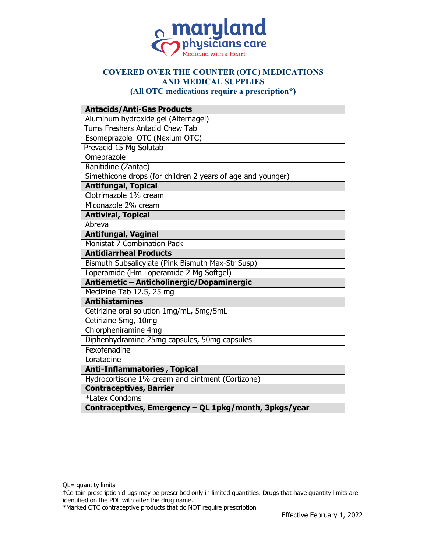

## **COVERED OVER THE COUNTER (OTC) MEDICATIONS AND MEDICAL SUPPLIES**

**(All OTC medications require a prescription\*)**

| <b>Antacids/Anti-Gas Products</b>                           |
|-------------------------------------------------------------|
| Aluminum hydroxide gel (Alternagel)                         |
| Tums Freshers Antacid Chew Tab                              |
| Esomeprazole OTC (Nexium OTC)                               |
| Prevacid 15 Mg Solutab                                      |
| Omeprazole                                                  |
| Ranitidine (Zantac)                                         |
| Simethicone drops (for children 2 years of age and younger) |
| <b>Antifungal, Topical</b>                                  |
| Clotrimazole 1% cream                                       |
| Miconazole 2% cream                                         |
| <b>Antiviral, Topical</b>                                   |
| Abreva                                                      |
| <b>Antifungal, Vaginal</b>                                  |
| Monistat 7 Combination Pack                                 |
| <b>Antidiarrheal Products</b>                               |
| Bismuth Subsalicylate (Pink Bismuth Max-Str Susp)           |
| Loperamide (Hm Loperamide 2 Mg Softgel)                     |
| Antiemetic - Anticholinergic/Dopaminergic                   |
| Meclizine Tab 12.5, 25 mg                                   |
| <b>Antihistamines</b>                                       |
| Cetirizine oral solution 1mg/mL, 5mg/5mL                    |
| Cetirizine 5mg, 10mg                                        |
| Chlorpheniramine 4mg                                        |
| Diphenhydramine 25mg capsules, 50mg capsules                |
| Fexofenadine                                                |
| Loratadine                                                  |
| <b>Anti-Inflammatories, Topical</b>                         |
| Hydrocortisone 1% cream and ointment (Cortizone)            |
| <b>Contraceptives, Barrier</b>                              |
| *Latex Condoms                                              |
| Contraceptives, Emergency - QL 1pkg/month, 3pkgs/year       |

†Certain prescription drugs may be prescribed only in limited quantities. Drugs that have quantity limits are identified on the PDL with after the drug name.

\*Marked OTC contraceptive products that do NOT require prescription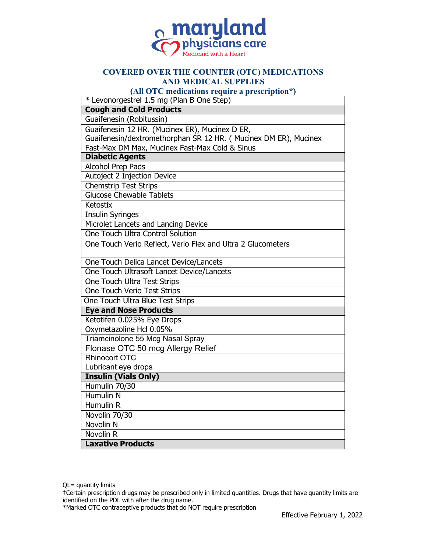

## **COVERED OVER THE COUNTER (OTC) MEDICATIONS AND MEDICAL SUPPLIES**

**(All OTC medications require a prescription\*)**

| * Levonorgestrel 1.5 mg (Plan B One Step)                        |
|------------------------------------------------------------------|
| <b>Cough and Cold Products</b>                                   |
| Guaifenesin (Robitussin)                                         |
| Guaifenesin 12 HR. (Mucinex ER), Mucinex D ER,                   |
| Guaifenesin/dextromethorphan SR 12 HR. ( Mucinex DM ER), Mucinex |
| Fast-Max DM Max, Mucinex Fast-Max Cold & Sinus                   |
| <b>Diabetic Agents</b>                                           |
| <b>Alcohol Prep Pads</b>                                         |
| Autoject 2 Injection Device                                      |
| <b>Chemstrip Test Strips</b>                                     |
| <b>Glucose Chewable Tablets</b>                                  |
| Ketostix                                                         |
| <b>Insulin Syringes</b>                                          |
| Microlet Lancets and Lancing Device                              |
| One Touch Ultra Control Solution                                 |
| One Touch Verio Reflect, Verio Flex and Ultra 2 Glucometers      |
| One Touch Delica Lancet Device/Lancets                           |
| One Touch Ultrasoft Lancet Device/Lancets                        |
| <b>One Touch Ultra Test Strips</b>                               |
| One Touch Verio Test Strips                                      |
| One Touch Ultra Blue Test Strips                                 |
| <b>Eye and Nose Products</b>                                     |
| Ketotifen 0.025% Eye Drops                                       |
| Oxymetazoline Hcl 0.05%                                          |
| Triamcinolone 55 Mcg Nasal Spray                                 |
| Flonase OTC 50 mcg Allergy Relief                                |
| Rhinocort OTC                                                    |
| Lubricant eye drops                                              |
| <b>Insulin (Vials Only)</b>                                      |
| Humulin 70/30                                                    |
| <b>Humulin N</b>                                                 |
| <b>Humulin R</b>                                                 |
| Novolin 70/30                                                    |
| Novolin <sub>N</sub>                                             |
| Novolin R                                                        |
| <b>Laxative Products</b>                                         |

†Certain prescription drugs may be prescribed only in limited quantities. Drugs that have quantity limits are identified on the PDL with after the drug name.

\*Marked OTC contraceptive products that do NOT require prescription